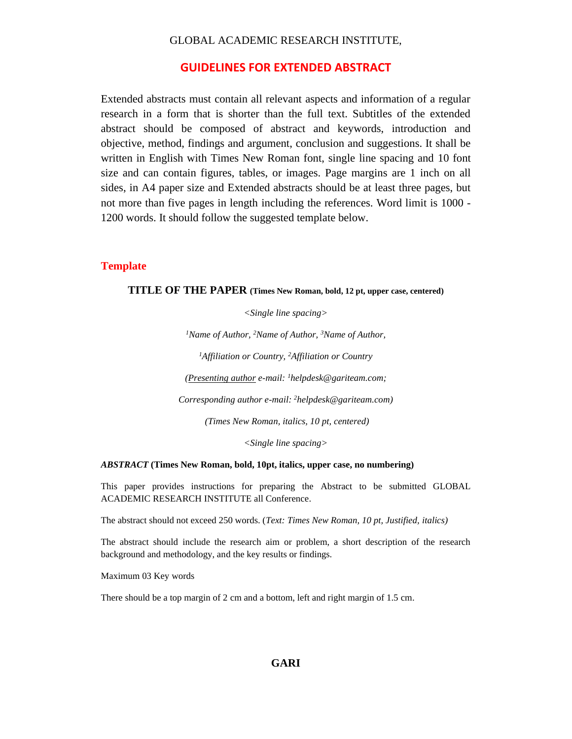### GLOBAL ACADEMIC RESEARCH INSTITUTE,

### **GUIDELINES FOR EXTENDED ABSTRACT**

Extended abstracts must contain all relevant aspects and information of a regular research in a form that is shorter than the full text. Subtitles of the extended abstract should be composed of abstract and keywords, introduction and objective, method, findings and argument, conclusion and suggestions. It shall be written in English with Times New Roman font, single line spacing and 10 font size and can contain figures, tables, or images. Page margins are 1 inch on all sides, in A4 paper size and Extended abstracts should be at least three pages, but not more than five pages in length including the references. Word limit is 1000 - 1200 words. It should follow the suggested template below.

### **Template**

#### **TITLE OF THE PAPER (Times New Roman, bold, 12 pt, upper case, centered)**

*<Single line spacing>* 

*<sup>1</sup>Name of Author, <sup>2</sup>Name of Author, <sup>3</sup>Name of Author,* 

*<sup>1</sup>Affiliation or Country, <sup>2</sup>Affiliation or Country*

*(Presenting author e-mail: <sup>1</sup>helpdesk@gariteam.com;* 

*Corresponding author e-mail: <sup>2</sup>helpdesk@gariteam.com)*

*(Times New Roman, italics, 10 pt, centered)*

*<Single line spacing>*

#### *ABSTRACT* **(Times New Roman, bold, 10pt, italics, upper case, no numbering)**

This paper provides instructions for preparing the Abstract to be submitted GLOBAL ACADEMIC RESEARCH INSTITUTE all Conference.

The abstract should not exceed 250 words. (*Text: Times New Roman, 10 pt, Justified, italics)*

The abstract should include the research aim or problem, a short description of the research background and methodology, and the key results or findings.

Maximum 03 Key words

There should be a top margin of 2 cm and a bottom, left and right margin of 1.5 cm.